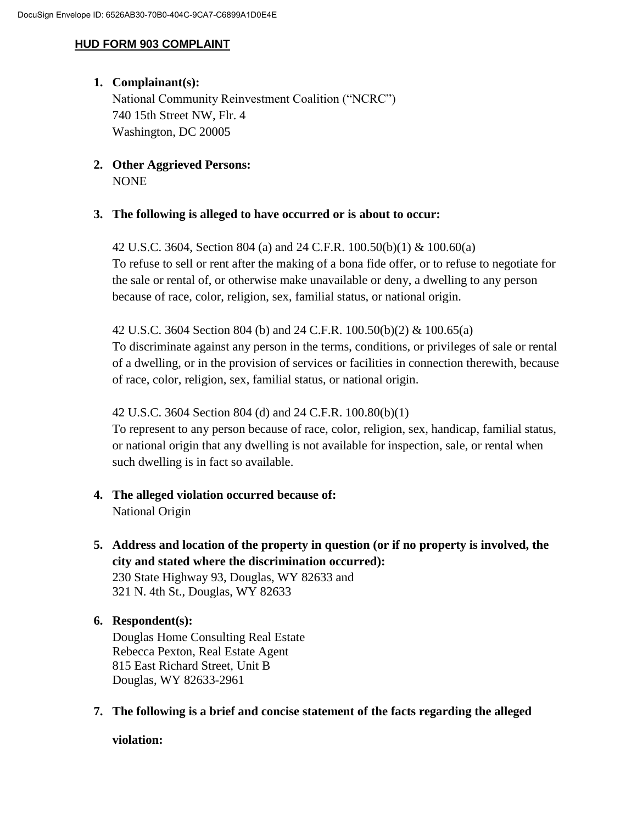### **HUD FORM 903 COMPLAINT**

## **1. Complainant(s):**

National Community Reinvestment Coalition ("NCRC") 740 15th Street NW, Flr. 4 Washington, DC 20005

## **2. Other Aggrieved Persons:** NONE

## **3. The following is alleged to have occurred or is about to occur:**

42 U.S.C. 3604, Section 804 (a) and 24 C.F.R. 100.50(b)(1) & 100.60(a) To refuse to sell or rent after the making of a bona fide offer, or to refuse to negotiate for the sale or rental of, or otherwise make unavailable or deny, a dwelling to any person because of race, color, religion, sex, familial status, or national origin.

42 U.S.C. 3604 Section 804 (b) and 24 C.F.R. 100.50(b)(2) & 100.65(a) To discriminate against any person in the terms, conditions, or privileges of sale or rental of a dwelling, or in the provision of services or facilities in connection therewith, because of race, color, religion, sex, familial status, or national origin.

### 42 U.S.C. 3604 Section 804 (d) and 24 C.F.R. 100.80(b)(1)

To represent to any person because of race, color, religion, sex, handicap, familial status, or national origin that any dwelling is not available for inspection, sale, or rental when such dwelling is in fact so available.

- **4. The alleged violation occurred because of:**  National Origin
- **5. Address and location of the property in question (or if no property is involved, the city and stated where the discrimination occurred):** 230 State Highway 93, Douglas, WY 82633 and 321 N. 4th St., Douglas, WY 82633

# **6. Respondent(s):**

Douglas Home Consulting Real Estate Rebecca Pexton, Real Estate Agent 815 East Richard Street, Unit B Douglas, WY 82633-2961

**7. The following is a brief and concise statement of the facts regarding the alleged** 

**violation:**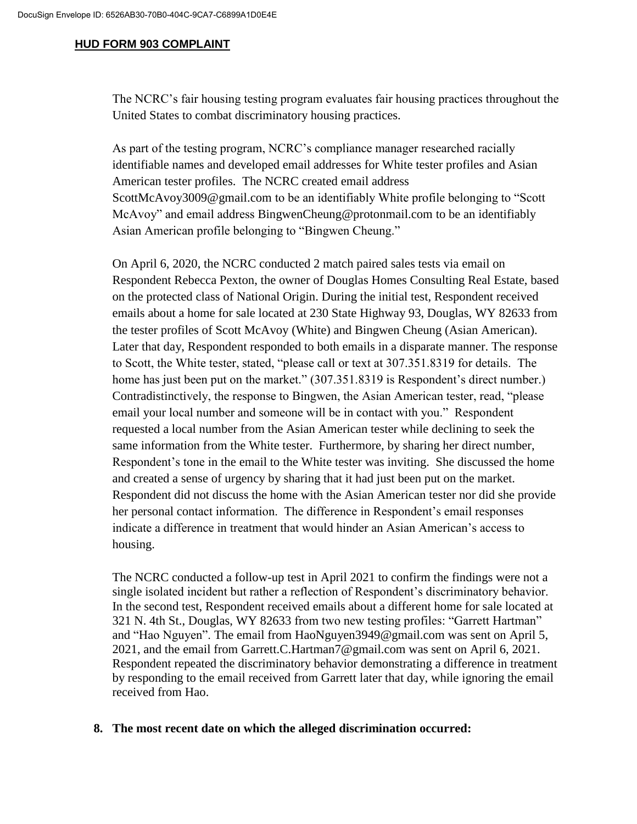#### **HUD FORM 903 COMPLAINT**

The NCRC's fair housing testing program evaluates fair housing practices throughout the United States to combat discriminatory housing practices.

As part of the testing program, NCRC's compliance manager researched racially identifiable names and developed email addresses for White tester profiles and Asian American tester profiles. The NCRC created email address ScottMcAvoy3009@gmail.com to be an identifiably White profile belonging to "Scott McAvoy" and email address BingwenCheung@protonmail.com to be an identifiably Asian American profile belonging to "Bingwen Cheung."

On April 6, 2020, the NCRC conducted 2 match paired sales tests via email on Respondent Rebecca Pexton, the owner of Douglas Homes Consulting Real Estate, based on the protected class of National Origin. During the initial test, Respondent received emails about a home for sale located at 230 State Highway 93, Douglas, WY 82633 from the tester profiles of Scott McAvoy (White) and Bingwen Cheung (Asian American). Later that day, Respondent responded to both emails in a disparate manner. The response to Scott, the White tester, stated, "please call or text at 307.351.8319 for details. The home has just been put on the market." (307.351.8319 is Respondent's direct number.) Contradistinctively, the response to Bingwen, the Asian American tester, read, "please email your local number and someone will be in contact with you." Respondent requested a local number from the Asian American tester while declining to seek the same information from the White tester. Furthermore, by sharing her direct number, Respondent's tone in the email to the White tester was inviting. She discussed the home and created a sense of urgency by sharing that it had just been put on the market. Respondent did not discuss the home with the Asian American tester nor did she provide her personal contact information. The difference in Respondent's email responses indicate a difference in treatment that would hinder an Asian American's access to housing.

The NCRC conducted a follow-up test in April 2021 to confirm the findings were not a single isolated incident but rather a reflection of Respondent's discriminatory behavior. In the second test, Respondent received emails about a different home for sale located at 321 N. 4th St., Douglas, WY 82633 from two new testing profiles: "Garrett Hartman" and "Hao Nguyen". The email from HaoNguyen3949@gmail.com was sent on April 5, 2021, and the email from Garrett.C.Hartman7@gmail.com was sent on April 6, 2021. Respondent repeated the discriminatory behavior demonstrating a difference in treatment by responding to the email received from Garrett later that day, while ignoring the email received from Hao.

### **8. The most recent date on which the alleged discrimination occurred:**